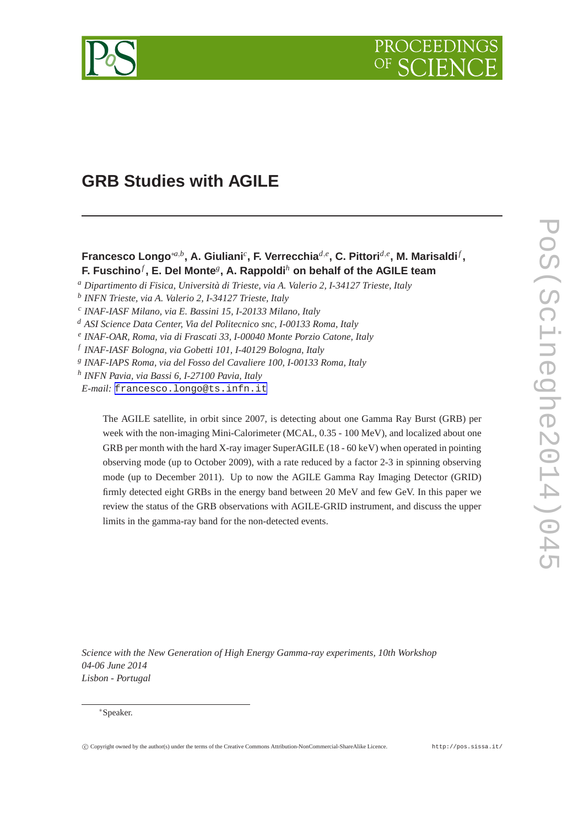

# **GRB Studies with AGILE**

## **Francesco Longo**∗*a*,*<sup>b</sup>* **, A. Giuliani***<sup>c</sup>* **, F. Verrecchia***d*,*<sup>e</sup>* **, C. Pittori***d*,*<sup>e</sup>* **, M. Marisaldi***<sup>f</sup>* **, F. Fuschino***<sup>f</sup>* **, E. Del Monte***<sup>g</sup>* **, A. Rappoldi***<sup>h</sup>* **on behalf of the AGILE team**

- *<sup>a</sup> Dipartimento di Fisica, Università di Trieste, via A. Valerio 2, I-34127 Trieste, Italy*
- *b INFN Trieste, via A. Valerio 2, I-34127 Trieste, Italy*
- *c INAF-IASF Milano, via E. Bassini 15, I-20133 Milano, Italy*
- *<sup>d</sup> ASI Science Data Center, Via del Politecnico snc, I-00133 Roma, Italy*
- *e INAF-OAR, Roma, via di Frascati 33, I-00040 Monte Porzio Catone, Italy*
- *f INAF-IASF Bologna, via Gobetti 101, I-40129 Bologna, Italy*
- *g INAF-IAPS Roma, via del Fosso del Cavaliere 100, I-00133 Roma, Italy*
- *h INFN Pavia, via Bassi 6, I-27100 Pavia, Italy*
- *E-mail:* [francesco.longo@ts.infn.it](mailto:francesco.longo@ts.infn.it)

The AGILE satellite, in orbit since 2007, is detecting about one Gamma Ray Burst (GRB) per week with the non-imaging Mini-Calorimeter (MCAL, 0.35 - 100 MeV), and localized about one GRB per month with the hard X-ray imager SuperAGILE (18 - 60 keV) when operated in pointing observing mode (up to October 2009), with a rate reduced by a factor 2-3 in spinning observing mode (up to December 2011). Up to now the AGILE Gamma Ray Imaging Detector (GRID) firmly detected eight GRBs in the energy band between 20 MeV and few GeV. In this paper we review the status of the GRB observations with AGILE-GRID instrument, and discuss the upper limits in the gamma-ray band for the non-detected events.

*Science with the New Generation of High Energy Gamma-ray experiments, 10th Workshop 04-06 June 2014 Lisbon - Portugal*

#### <sup>∗</sup>Speaker.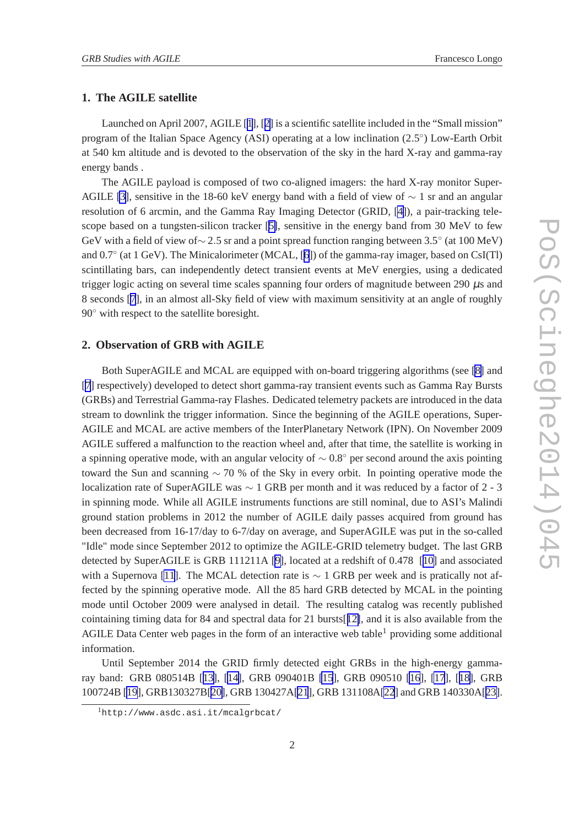### **1. The AGILE satellite**

Launched on April 2007, AGILE [[1](#page-3-0)], [[2\]](#page-3-0) is a scientific satellite included in the "Small mission" program of the Italian Space Agency (ASI) operating at a low inclination (2.5°) Low-Earth Orbit at 540 km altitude and is devoted to the observation of the sky in the hard X-ray and gamma-ray energy bands .

The AGILE payload is composed of two co-aligned imagers: the hard X-ray monitor Super-AGILE [\[3\]](#page-3-0), sensitive in the 18-60 keV energy band with a field of view of  $\sim 1$  sr and an angular resolution of 6 arcmin, and the Gamma Ray Imaging Detector (GRID, [\[4\]](#page-3-0)), a pair-tracking telescope based on a tungsten-silicon tracker [[5\]](#page-3-0), sensitive in the energy band from 30 MeV to few GeV with a field of view of∼ 2.5 sr and a point spread function ranging between 3.5° (at 100 MeV) and 0.7◦ (at 1 GeV). The Minicalorimeter (MCAL, [[6](#page-3-0)]) of the gamma-ray imager, based on CsI(Tl) scintillating bars, can independently detect transient events at MeV energies, using a dedicated trigger logic acting on several time scales spanning four orders of magnitude between 290  $\mu$ s and 8 seconds [\[7](#page-3-0)], in an almost all-Sky field of view with maximum sensitivity at an angle of roughly 90<sup>○</sup> with respect to the satellite boresight.

#### **2. Observation of GRB with AGILE**

Both SuperAGILE and MCAL are equipped with on-board triggering algorithms (see [\[8\]](#page-3-0) and [[7](#page-3-0)] respectively) developed to detect short gamma-ray transient events such as Gamma Ray Bursts (GRBs) and Terrestrial Gamma-ray Flashes. Dedicated telemetry packets are introduced in the data stream to downlink the trigger information. Since the beginning of the AGILE operations, Super-AGILE and MCAL are active members of the InterPlanetary Network (IPN). On November 2009 AGILE suffered a malfunction to the reaction wheel and, after that time, the satellite is working in a spinning operative mode, with an angular velocity of  $\sim 0.8°$  per second around the axis pointing toward the Sun and scanning  $\sim$  70 % of the Sky in every orbit. In pointing operative mode the localization rate of SuperAGILE was ∼ 1 GRB per month and it was reduced by a factor of 2 - 3 in spinning mode. While all AGILE instruments functions are still nominal, due to ASI's Malindi ground station problems in 2012 the number of AGILE daily passes acquired from ground has been decreased from 16-17/day to 6-7/day on average, and SuperAGILE was put in the so-called "Idle" mode since September 2012 to optimize the AGILE-GRID telemetry budget. The last GRB detected by SuperAGILE is GRB 111211A [\[9\]](#page-3-0), located at a redshift of 0.478 [[10\]](#page-3-0) and associated with a Supernova [\[11](#page-3-0)]. The MCAL detection rate is  $\sim 1$  GRB per week and is pratically not affected by the spinning operative mode. All the 85 hard GRB detected by MCAL in the pointing mode until October 2009 were analysed in detail. The resulting catalog was recently published cointaining timing data for 84 and spectral data for 21 bursts[[12\]](#page-3-0), and it is also available from the AGILE Data Center web pages in the form of an interactive web table<sup>1</sup> providing some additional information.

Until September 2014 the GRID firmly detected eight GRBs in the high-energy gammaray band: GRB 080514B [[13\]](#page-3-0), [[14\]](#page-3-0), GRB 090401B [\[15](#page-3-0)], GRB 090510 [\[16](#page-3-0)], [\[17](#page-3-0)], [[18\]](#page-3-0), GRB 100724B [\[19](#page-3-0)], GRB130327B[[20\]](#page-3-0), GRB 130427A[\[21](#page-3-0)], GRB 131108A[\[22](#page-3-0)] and GRB 140330A[[23\]](#page-3-0).

<sup>1</sup>http://www.asdc.asi.it/mcalgrbcat/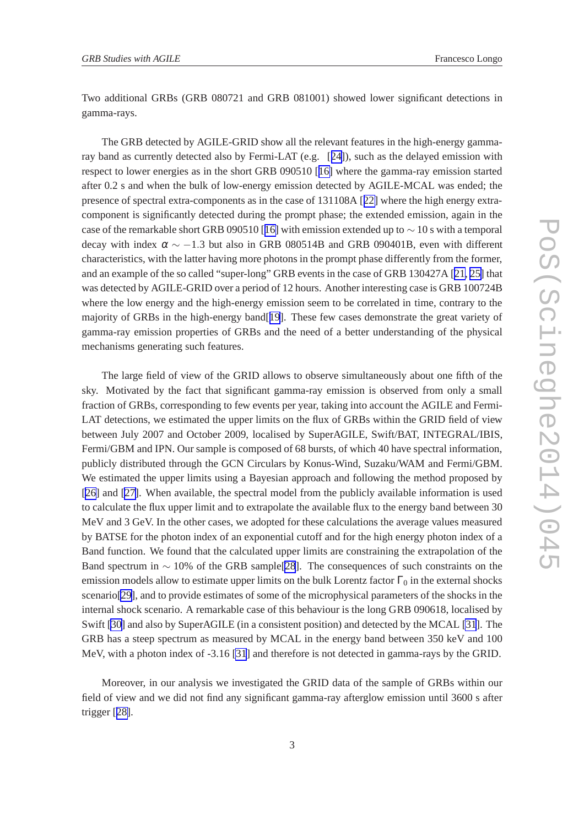Two additional GRBs (GRB 080721 and GRB 081001) showed lower significant detections in gamma-rays.

The GRB detected by AGILE-GRID show all the relevant features in the high-energy gammaray band as currently detected also by Fermi-LAT (e.g. [[24\]](#page-3-0)), such as the delayed emission with respect to lower energies as in the short GRB 090510 [[16\]](#page-3-0) where the gamma-ray emission started after 0.2 s and when the bulk of low-energy emission detected by AGILE-MCAL was ended; the presence of spectral extra-components as in the case of 131108A [[22\]](#page-3-0) where the high energy extracomponent is significantly detected during the prompt phase; the extended emission, again in the case of the remarkable short GRB 090510 [[16\]](#page-3-0) with emission extended up to  $\sim$  10 s with a temporal decay with index  $\alpha \sim -1.3$  but also in GRB 080514B and GRB 090401B, even with different characteristics, with the latter having more photons in the prompt phase differently from the former, and an example of the so called "super-long" GRB events in the case of GRB 130427A [[21, 25\]](#page-3-0) that was detected by AGILE-GRID over a period of 12 hours. Another interesting case is GRB 100724B where the low energy and the high-energy emission seem to be correlated in time, contrary to the majority of GRBs in the high-energy band[[19](#page-3-0)]. These few cases demonstrate the great variety of gamma-ray emission properties of GRBs and the need of a better understanding of the physical mechanisms generating such features.

The large field of view of the GRID allows to observe simultaneously about one fifth of the sky. Motivated by the fact that significant gamma-ray emission is observed from only a small fraction of GRBs, corresponding to few events per year, taking into account the AGILE and Fermi-LAT detections, we estimated the upper limits on the flux of GRBs within the GRID field of view between July 2007 and October 2009, localised by SuperAGILE, Swift/BAT, INTEGRAL/IBIS, Fermi/GBM and IPN. Our sample is composed of 68 bursts, of which 40 have spectral information, publicly distributed through the GCN Circulars by Konus-Wind, Suzaku/WAM and Fermi/GBM. We estimated the upper limits using a Bayesian approach and following the method proposed by [[26\]](#page-4-0) and [[27\]](#page-4-0). When available, the spectral model from the publicly available information is used to calculate the flux upper limit and to extrapolate the available flux to the energy band between 30 MeV and 3 GeV. In the other cases, we adopted for these calculations the average values measured by BATSE for the photon index of an exponential cutoff and for the high energy photon index of a Band function. We found that the calculated upper limits are constraining the extrapolation of the Band spectrum in ∼ 10% of the GRB sample[\[28](#page-4-0)]. The consequences of such constraints on the emission models allow to estimate upper limits on the bulk Lorentz factor  $\Gamma_0$  in the external shocks scenario[\[29](#page-4-0)], and to provide estimates of some of the microphysical parameters of the shocks in the internal shock scenario. A remarkable case of this behaviour is the long GRB 090618, localised by Swift [\[30\]](#page-4-0) and also by SuperAGILE (in a consistent position) and detected by the MCAL [\[31](#page-4-0)]. The GRB has a steep spectrum as measured by MCAL in the energy band between 350 keV and 100 MeV, with a photon index of -3.16 [\[31](#page-4-0)] and therefore is not detected in gamma-rays by the GRID.

Moreover, in our analysis we investigated the GRID data of the sample of GRBs within our field of view and we did not find any significant gamma-ray afterglow emission until 3600 s after trigger [[28\]](#page-4-0).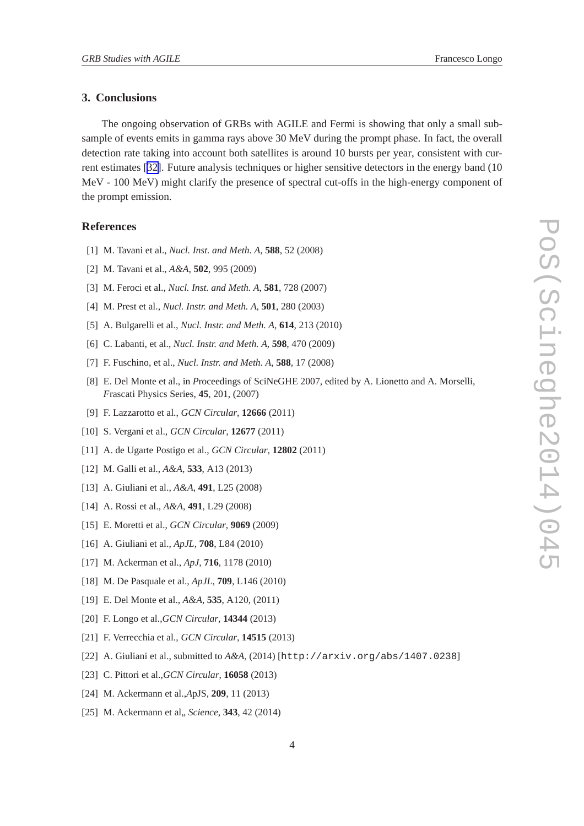### <span id="page-3-0"></span>**3. Conclusions**

The ongoing observation of GRBs with AGILE and Fermi is showing that only a small subsample of events emits in gamma rays above 30 MeV during the prompt phase. In fact, the overall detection rate taking into account both satellites is around 10 bursts per year, consistent with current estimates [[32\]](#page-4-0). Future analysis techniques or higher sensitive detectors in the energy band (10 MeV - 100 MeV) might clarify the presence of spectral cut-offs in the high-energy component of the prompt emission.

#### **References**

- [1] M. Tavani et al., *Nucl. Inst. and Meth. A*, **588**, 52 (2008)
- [2] M. Tavani et al., *A&A*, **502**, 995 (2009)
- [3] M. Feroci et al., *Nucl. Inst. and Meth. A*, **581**, 728 (2007)
- [4] M. Prest et al., *Nucl. Instr. and Meth. A*, **501**, 280 (2003)
- [5] A. Bulgarelli et al., *Nucl. Instr. and Meth. A*, **614**, 213 (2010)
- [6] C. Labanti, et al., *Nucl. Instr. and Meth. A*, **598**, 470 (2009)
- [7] F. Fuschino, et al., *Nucl. Instr. and Meth. A*, **588**, 17 (2008)
- [8] E. Del Monte et al., in *Proceedings* of SciNeGHE 2007, edited by A. Lionetto and A. Morselli, *F*rascati Physics Series, **45**, 201, (2007)
- [9] F. Lazzarotto et al., *GCN Circular*, **12666** (2011)
- [10] S. Vergani et al., *GCN Circular*, **12677** (2011)
- [11] A. de Ugarte Postigo et al., *GCN Circular*, **12802** (2011)
- [12] M. Galli et al., *A&A*, **533**, A13 (2013)
- [13] A. Giuliani et al., *A&A*, **491**, L25 (2008)
- [14] A. Rossi et al., *A&A*, **491**, L29 (2008)
- [15] E. Moretti et al., *GCN Circular*, **9069** (2009)
- [16] A. Giuliani et al., *ApJL*, **708**, L84 (2010)
- [17] M. Ackerman et al., *ApJ*, **716**, 1178 (2010)
- [18] M. De Pasquale et al., *ApJL*, **709**, L146 (2010)
- [19] E. Del Monte et al., *A&A*, **535**, A120, (2011)
- [20] F. Longo et al.,*GCN Circular*, **14344** (2013)
- [21] F. Verrecchia et al., *GCN Circular*, **14515** (2013)
- [22] A. Giuliani et al., submitted to *A&A*, (2014) [http://arxiv.org/abs/1407.0238]
- [23] C. Pittori et al.,*GCN Circular*, **16058** (2013)
- [24] M. Ackermann et al.,*A*pJS, **209**, 11 (2013)
- [25] M. Ackermann et al., *Science*, **343**, 42 (2014)